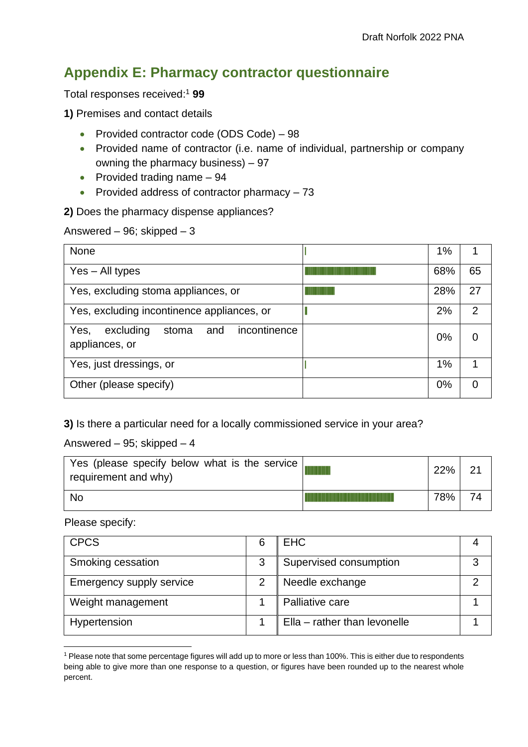## **Appendix E: Pharmacy contractor questionnaire**

Total responses received: <sup>1</sup> **99**

**1)** Premises and contact details

- Provided contractor code (ODS Code) 98
- Provided name of contractor (i.e. name of individual, partnership or company owning the pharmacy business) – 97
- Provided trading name 94
- Provided address of contractor pharmacy 73

**2)** Does the pharmacy dispense appliances?

Answered – 96; skipped – 3

| <b>None</b>                                                         | $1\%$ |                |
|---------------------------------------------------------------------|-------|----------------|
| $Yes - All types$                                                   | 68%   | 65             |
| Yes, excluding stoma appliances, or                                 | 28%   | 27             |
| Yes, excluding incontinence appliances, or                          | 2%    | $\overline{2}$ |
| Yes,<br>incontinence<br>excluding<br>and<br>stoma<br>appliances, or | 0%    | 0              |
| Yes, just dressings, or                                             | 1%    |                |
| Other (please specify)                                              | 0%    | 0              |

**3)** Is there a particular need for a locally commissioned service in your area?

Answered – 95; skipped – 4

| Yes (please specify below what is the service)<br>requirement and why) | 22% |  |
|------------------------------------------------------------------------|-----|--|
| <b>No</b>                                                              | 78% |  |

Please specify:

| <b>CPCS</b>              | 6 | <b>EHC</b>                   |  |
|--------------------------|---|------------------------------|--|
| Smoking cessation        | 3 | Supervised consumption       |  |
| Emergency supply service |   | Needle exchange              |  |
| Weight management        |   | Palliative care              |  |
| Hypertension             |   | Ella - rather than levonelle |  |

<sup>1</sup> Please note that some percentage figures will add up to more or less than 100%. This is either due to respondents being able to give more than one response to a question, or figures have been rounded up to the nearest whole percent.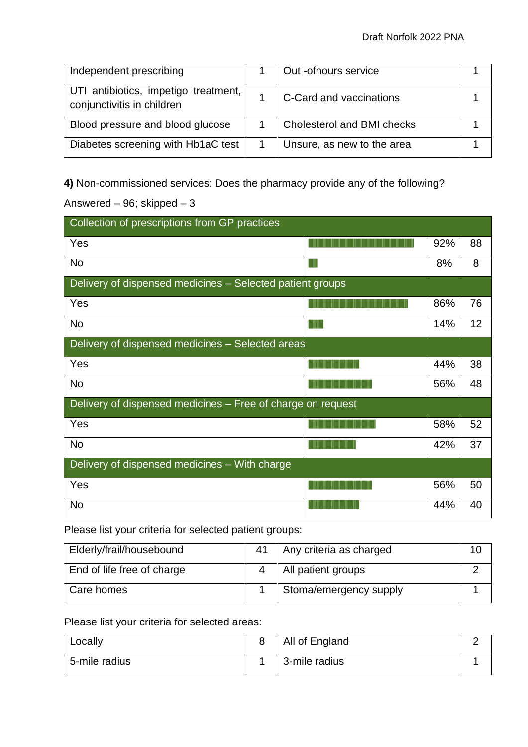| Independent prescribing                                            | Out -ofhours service              |  |
|--------------------------------------------------------------------|-----------------------------------|--|
| UTI antibiotics, impetigo treatment,<br>conjunctivitis in children | C-Card and vaccinations           |  |
| Blood pressure and blood glucose                                   | <b>Cholesterol and BMI checks</b> |  |
| Diabetes screening with Hb1aC test                                 | Unsure, as new to the area        |  |

**4)** Non-commissioned services: Does the pharmacy provide any of the following?

Answered – 96; skipped – 3

| Collection of prescriptions from GP practices               |   |     |    |  |  |
|-------------------------------------------------------------|---|-----|----|--|--|
| Yes                                                         |   | 92% | 88 |  |  |
| No                                                          | Ш | 8%  | 8  |  |  |
| Delivery of dispensed medicines - Selected patient groups   |   |     |    |  |  |
| Yes                                                         |   | 86% | 76 |  |  |
| <b>No</b>                                                   |   | 14% | 12 |  |  |
| Delivery of dispensed medicines - Selected areas            |   |     |    |  |  |
| Yes                                                         |   | 44% | 38 |  |  |
| <b>No</b>                                                   |   | 56% | 48 |  |  |
| Delivery of dispensed medicines - Free of charge on request |   |     |    |  |  |
| Yes                                                         |   | 58% | 52 |  |  |
| <b>No</b>                                                   |   | 42% | 37 |  |  |
| Delivery of dispensed medicines - With charge               |   |     |    |  |  |
| Yes                                                         |   | 56% | 50 |  |  |
| No                                                          |   | 44% | 40 |  |  |

Please list your criteria for selected patient groups:

| Elderly/frail/housebound   | 41 | Any criteria as charged |  |
|----------------------------|----|-------------------------|--|
| End of life free of charge |    | All patient groups      |  |
| Care homes                 |    | Stoma/emergency supply  |  |

Please list your criteria for selected areas:

| Locally       | All of England |  |
|---------------|----------------|--|
| 5-mile radius | 3-mile radius  |  |